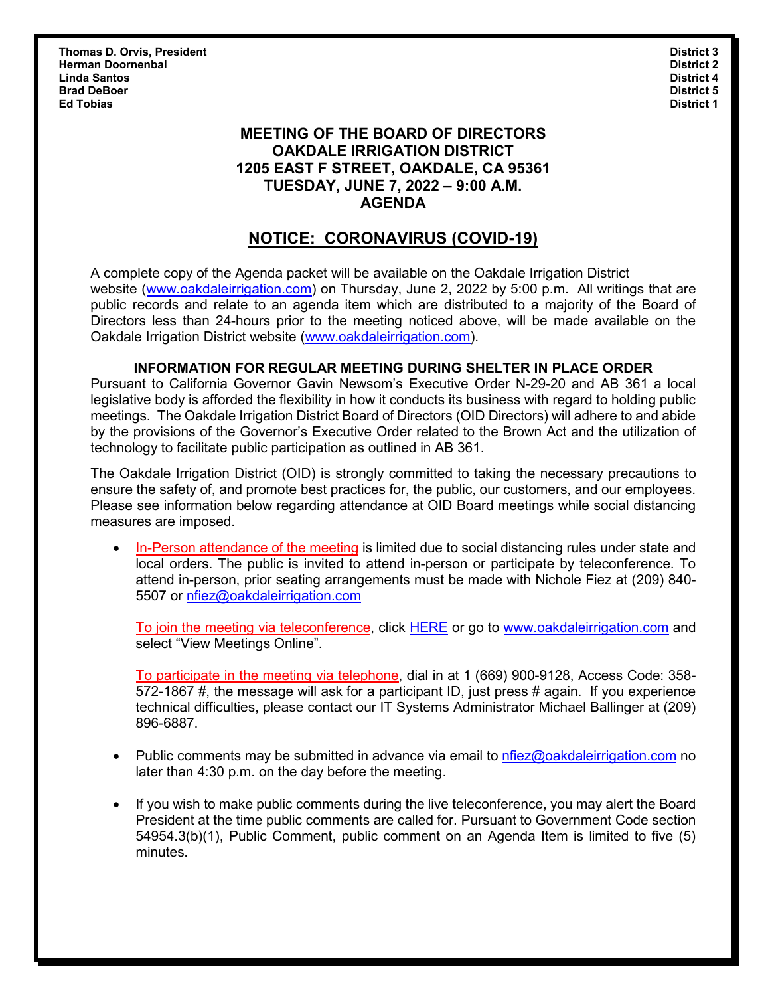**Thomas D. Orvis, President District 3 Herman Doornenbal District 2 Linda Santos District 4 Brad DeBoer District 5 Ed Tobias District 1**

### **MEETING OF THE BOARD OF DIRECTORS OAKDALE IRRIGATION DISTRICT 1205 EAST F STREET, OAKDALE, CA 95361 TUESDAY, JUNE 7, 2022 – 9:00 A.M. AGENDA**

# **NOTICE: CORONAVIRUS (COVID-19)**

A complete copy of the Agenda packet will be available on the Oakdale Irrigation District website [\(www.oakdaleirrigation.com\)](http://www.oakdaleirrigation.com/) on Thursday, June 2, 2022 by 5:00 p.m. All writings that are public records and relate to an agenda item which are distributed to a majority of the Board of Directors less than 24-hours prior to the meeting noticed above, will be made available on the Oakdale Irrigation District website [\(www.oakdaleirrigation.com\)](http://www.oakdaleirrigation.com/).

#### **INFORMATION FOR REGULAR MEETING DURING SHELTER IN PLACE ORDER**

Pursuant to California Governor Gavin Newsom's Executive Order N-29-20 and AB 361 a local legislative body is afforded the flexibility in how it conducts its business with regard to holding public meetings. The Oakdale Irrigation District Board of Directors (OID Directors) will adhere to and abide by the provisions of the Governor's Executive Order related to the Brown Act and the utilization of technology to facilitate public participation as outlined in AB 361.

The Oakdale Irrigation District (OID) is strongly committed to taking the necessary precautions to ensure the safety of, and promote best practices for, the public, our customers, and our employees. Please see information below regarding attendance at OID Board meetings while social distancing measures are imposed.

• In-Person attendance of the meeting is limited due to social distancing rules under state and local orders. The public is invited to attend in-person or participate by teleconference. To attend in-person, prior seating arrangements must be made with Nichole Fiez at (209) 840- 5507 or [nfiez@oakdaleirrigation.com](mailto:nfiez@oakdaleirrigation.com) 

To join the meeting via teleconference, click [HERE](https://www.oakdaleirrigation.com/view-meetings-online) or go to [www.oakdaleirrigation.com](http://www.oakdaleirrigation.com/) and select "View Meetings Online".

To participate in the meeting via telephone, dial in at 1 (669) 900-9128, Access Code: 358- 572-1867 #, the message will ask for a participant ID, just press # again. If you experience technical difficulties, please contact our IT Systems Administrator Michael Ballinger at (209) 896-6887.

- Public comments may be submitted in advance via email to  $n$  here  $\alpha$  bale irrigation.com no later than 4:30 p.m. on the day before the meeting.
- If you wish to make public comments during the live teleconference, you may alert the Board President at the time public comments are called for. Pursuant to Government Code section 54954.3(b)(1), Public Comment, public comment on an Agenda Item is limited to five (5) minutes.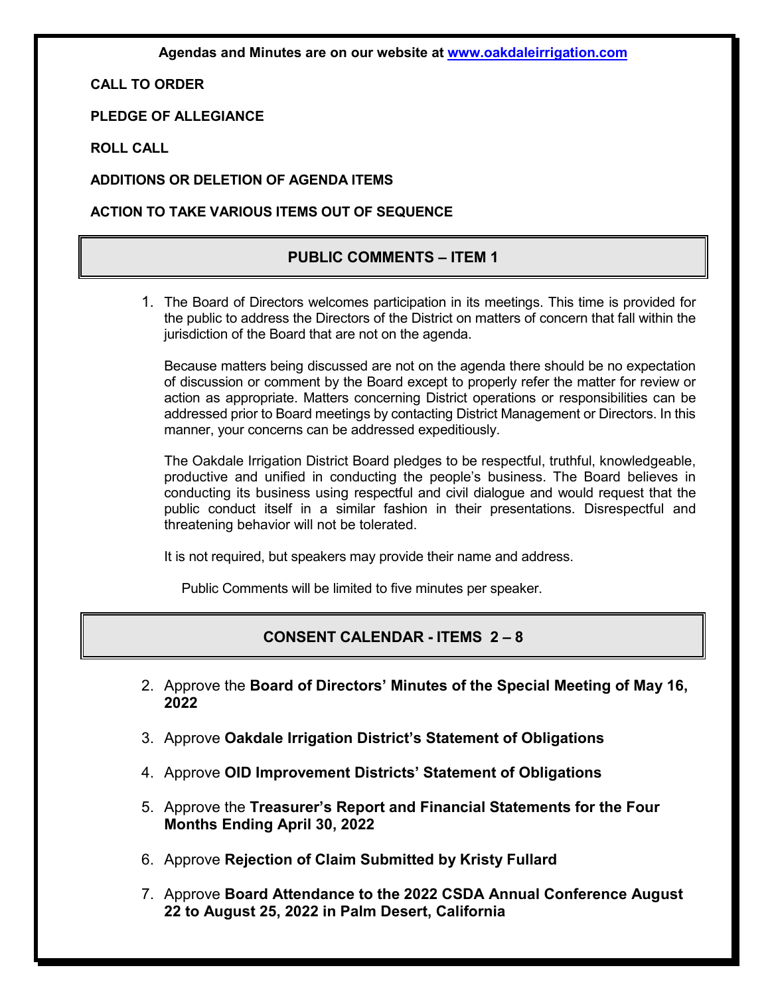**Agendas and Minutes are on our website at [www.oakdaleirrigation.com](http://www.oakdaleirrigation.com/)**

**CALL TO ORDER**

**PLEDGE OF ALLEGIANCE**

**ROLL CALL**

**ADDITIONS OR DELETION OF AGENDA ITEMS**

**ACTION TO TAKE VARIOUS ITEMS OUT OF SEQUENCE**

#### **PUBLIC COMMENTS – ITEM 1**

1. The Board of Directors welcomes participation in its meetings. This time is provided for the public to address the Directors of the District on matters of concern that fall within the jurisdiction of the Board that are not on the agenda.

Because matters being discussed are not on the agenda there should be no expectation of discussion or comment by the Board except to properly refer the matter for review or action as appropriate. Matters concerning District operations or responsibilities can be addressed prior to Board meetings by contacting District Management or Directors. In this manner, your concerns can be addressed expeditiously.

The Oakdale Irrigation District Board pledges to be respectful, truthful, knowledgeable, productive and unified in conducting the people's business. The Board believes in conducting its business using respectful and civil dialogue and would request that the public conduct itself in a similar fashion in their presentations. Disrespectful and threatening behavior will not be tolerated.

It is not required, but speakers may provide their name and address.

Public Comments will be limited to five minutes per speaker.

#### **CONSENT CALENDAR - ITEMS 2 – 8**

- 2. Approve the **Board of Directors' Minutes of the Special Meeting of May 16, 2022**
- 3. Approve **Oakdale Irrigation District's Statement of Obligations**
- 4. Approve **OID Improvement Districts' Statement of Obligations**
- 5. Approve the **Treasurer's Report and Financial Statements for the Four Months Ending April 30, 2022**
- 6. Approve **Rejection of Claim Submitted by Kristy Fullard**
- 7. Approve **Board Attendance to the 2022 CSDA Annual Conference August 22 to August 25, 2022 in Palm Desert, California**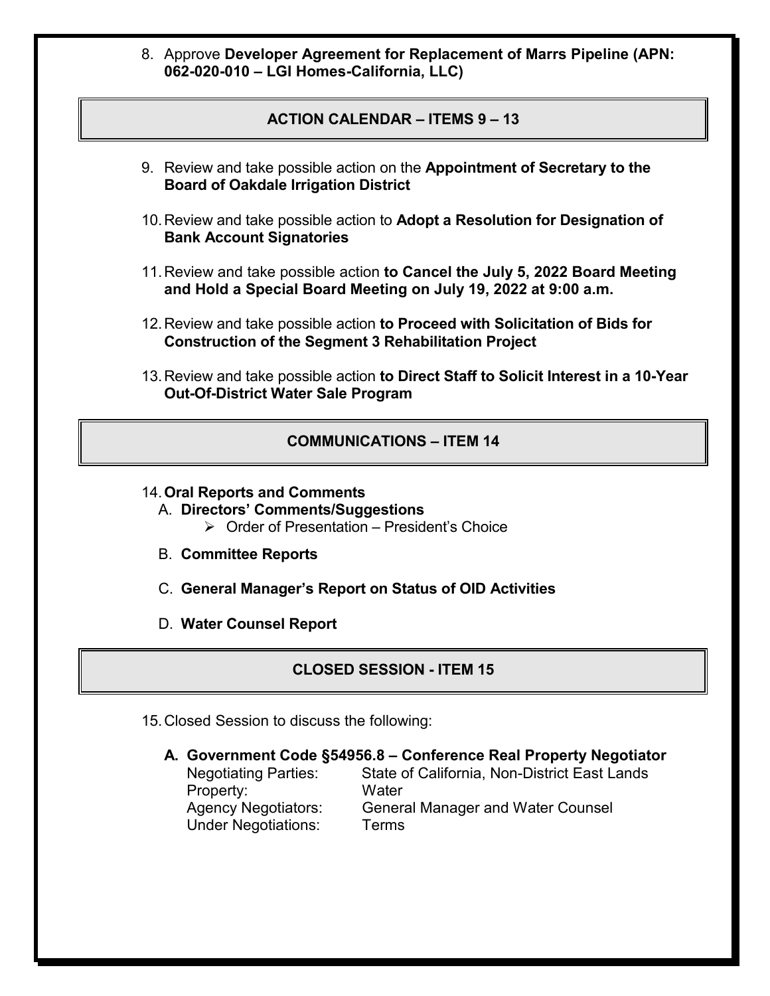8. Approve **Developer Agreement for Replacement of Marrs Pipeline (APN: 062-020-010 – LGI Homes-California, LLC)**

## **ACTION CALENDAR – ITEMS 9 – 13**

- 9. Review and take possible action on the **Appointment of Secretary to the Board of Oakdale Irrigation District**
- 10.Review and take possible action to **Adopt a Resolution for Designation of Bank Account Signatories**
- 11.Review and take possible action **to Cancel the July 5, 2022 Board Meeting and Hold a Special Board Meeting on July 19, 2022 at 9:00 a.m.**
- 12.Review and take possible action **to Proceed with Solicitation of Bids for Construction of the Segment 3 Rehabilitation Project**
- 13.Review and take possible action **to Direct Staff to Solicit Interest in a 10-Year Out-Of-District Water Sale Program**

### **COMMUNICATIONS – ITEM 14**

- 14.**Oral Reports and Comments**
	- A. **Directors' Comments/Suggestions**  $\triangleright$  Order of Presentation – President's Choice
	- B. **Committee Reports**
	- C. **General Manager's Report on Status of OID Activities**
	- D. **Water Counsel Report**

## **CLOSED SESSION - ITEM 15**

- 15.Closed Session to discuss the following:
	- **A. Government Code §54956.8 Conference Real Property Negotiator** Negotiating Parties: State of California, Non-District East Lands

Property: Water<br>Agency Negotiators: Genera Under Negotiations: Terms

General Manager and Water Counsel